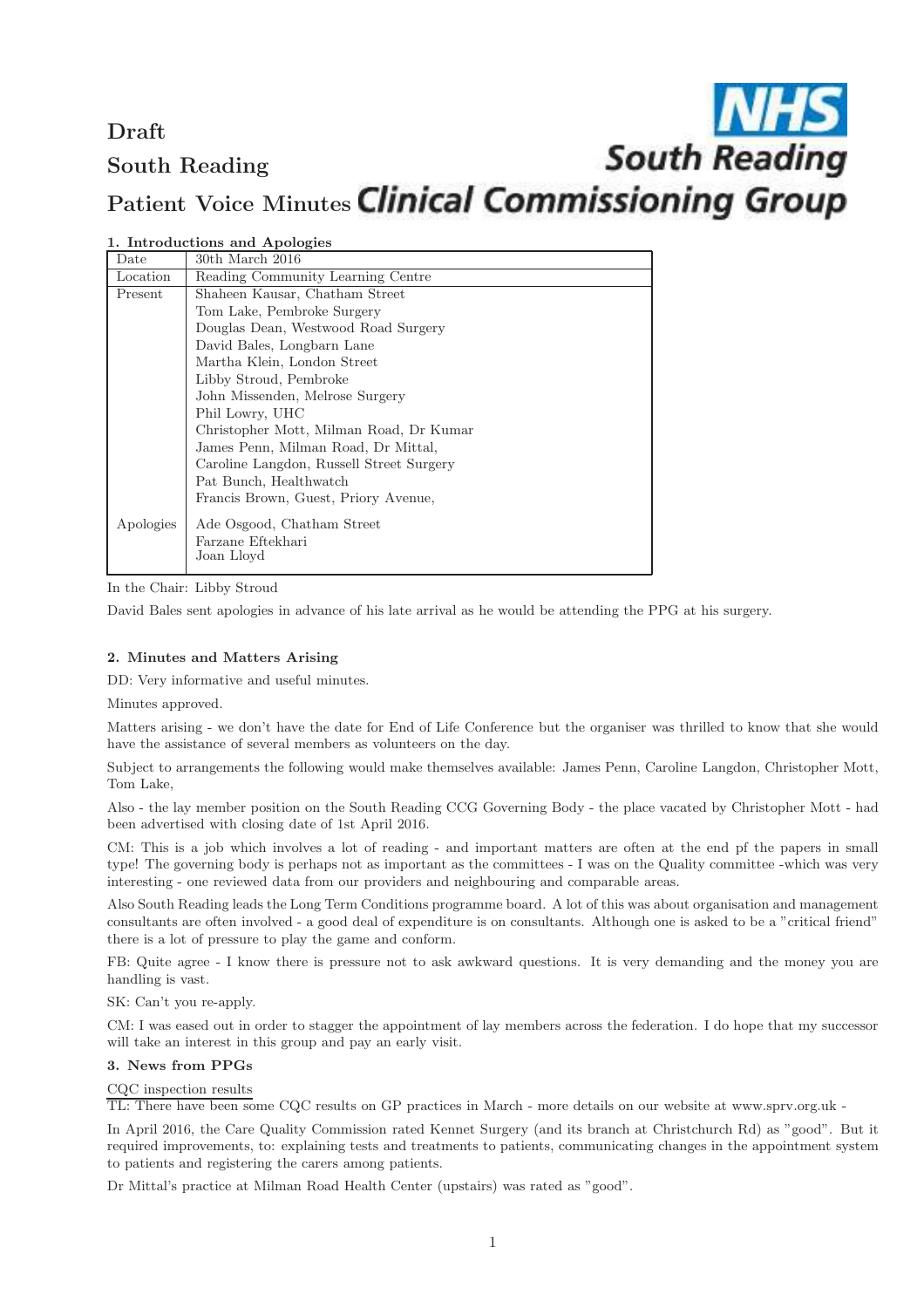# Draft **South Reading** South Reading Patient Voice Minutes Clinical Commissioning Group

| Date      | 30th March 2016                          |
|-----------|------------------------------------------|
| Location  | Reading Community Learning Centre        |
| Present   | Shaheen Kausar, Chatham Street           |
|           | Tom Lake, Pembroke Surgery               |
|           | Douglas Dean, Westwood Road Surgery      |
|           | David Bales, Longbarn Lane               |
|           | Martha Klein, London Street              |
|           | Libby Stroud, Pembroke                   |
|           | John Missenden, Melrose Surgery          |
|           | Phil Lowry, UHC                          |
|           | Christopher Mott, Milman Road, Dr Kumar  |
|           | James Penn, Milman Road, Dr Mittal,      |
|           | Caroline Langdon, Russell Street Surgery |
|           | Pat Bunch, Healthwatch                   |
|           | Francis Brown, Guest, Priory Avenue,     |
| Apologies | Ade Osgood, Chatham Street               |
|           | Farzane Eftekhari                        |
|           | Joan Lloyd                               |
|           |                                          |

1. Introductions and Apologies

In the Chair: Libby Stroud

David Bales sent apologies in advance of his late arrival as he would be attending the PPG at his surgery.

## 2. Minutes and Matters Arising

DD: Very informative and useful minutes.

Minutes approved.

Matters arising - we don't have the date for End of Life Conference but the organiser was thrilled to know that she would have the assistance of several members as volunteers on the day.

Subject to arrangements the following would make themselves available: James Penn, Caroline Langdon, Christopher Mott, Tom Lake,

Also - the lay member position on the South Reading CCG Governing Body - the place vacated by Christopher Mott - had been advertised with closing date of 1st April 2016.

CM: This is a job which involves a lot of reading - and important matters are often at the end pf the papers in small type! The governing body is perhaps not as important as the committees - I was on the Quality committee -which was very interesting - one reviewed data from our providers and neighbouring and comparable areas.

Also South Reading leads the Long Term Conditions programme board. A lot of this was about organisation and management consultants are often involved - a good deal of expenditure is on consultants. Although one is asked to be a "critical friend" there is a lot of pressure to play the game and conform.

FB: Quite agree - I know there is pressure not to ask awkward questions. It is very demanding and the money you are handling is vast.

SK: Can't you re-apply.

CM: I was eased out in order to stagger the appointment of lay members across the federation. I do hope that my successor will take an interest in this group and pay an early visit.

## 3. News from PPGs

## CQC inspection results

TL: There have been some CQC results on GP practices in March - more details on our website at www.sprv.org.uk -

In April 2016, the Care Quality Commission rated Kennet Surgery (and its branch at Christchurch Rd) as "good". But it required improvements, to: explaining tests and treatments to patients, communicating changes in the appointment system to patients and registering the carers among patients.

Dr Mittal's practice at Milman Road Health Center (upstairs) was rated as "good".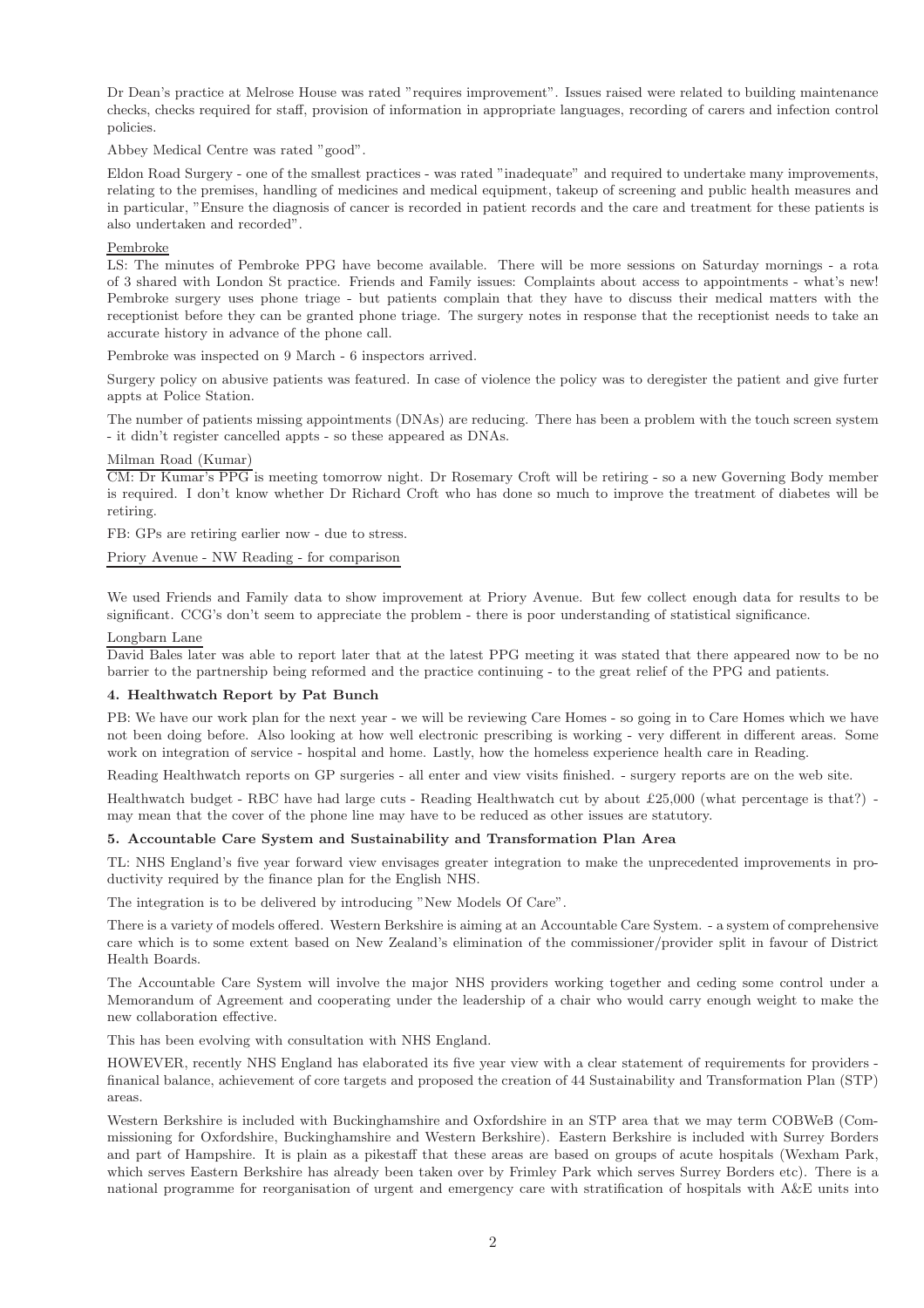Dr Dean's practice at Melrose House was rated "requires improvement". Issues raised were related to building maintenance checks, checks required for staff, provision of information in appropriate languages, recording of carers and infection control policies.

Abbey Medical Centre was rated "good".

Eldon Road Surgery - one of the smallest practices - was rated "inadequate" and required to undertake many improvements, relating to the premises, handling of medicines and medical equipment, takeup of screening and public health measures and in particular, "Ensure the diagnosis of cancer is recorded in patient records and the care and treatment for these patients is also undertaken and recorded".

#### Pembroke

LS: The minutes of Pembroke PPG have become available. There will be more sessions on Saturday mornings - a rota of 3 shared with London St practice. Friends and Family issues: Complaints about access to appointments - what's new! Pembroke surgery uses phone triage - but patients complain that they have to discuss their medical matters with the receptionist before they can be granted phone triage. The surgery notes in response that the receptionist needs to take an accurate history in advance of the phone call.

Pembroke was inspected on 9 March - 6 inspectors arrived.

Surgery policy on abusive patients was featured. In case of violence the policy was to deregister the patient and give furter appts at Police Station.

The number of patients missing appointments (DNAs) are reducing. There has been a problem with the touch screen system - it didn't register cancelled appts - so these appeared as DNAs.

#### Milman Road (Kumar)

CM: Dr Kumar's PPG is meeting tomorrow night. Dr Rosemary Croft will be retiring - so a new Governing Body member is required. I don't know whether Dr Richard Croft who has done so much to improve the treatment of diabetes will be retiring.

FB: GPs are retiring earlier now - due to stress.

Priory Avenue - NW Reading - for comparison

We used Friends and Family data to show improvement at Priory Avenue. But few collect enough data for results to be significant. CCG's don't seem to appreciate the problem - there is poor understanding of statistical significance.

#### Longbarn Lane

David Bales later was able to report later that at the latest PPG meeting it was stated that there appeared now to be no barrier to the partnership being reformed and the practice continuing - to the great relief of the PPG and patients.

## 4. Healthwatch Report by Pat Bunch

PB: We have our work plan for the next year - we will be reviewing Care Homes - so going in to Care Homes which we have not been doing before. Also looking at how well electronic prescribing is working - very different in different areas. Some work on integration of service - hospital and home. Lastly, how the homeless experience health care in Reading.

Reading Healthwatch reports on GP surgeries - all enter and view visits finished. - surgery reports are on the web site.

Healthwatch budget - RBC have had large cuts - Reading Healthwatch cut by about £25,000 (what percentage is that?) may mean that the cover of the phone line may have to be reduced as other issues are statutory.

## 5. Accountable Care System and Sustainability and Transformation Plan Area

TL: NHS England's five year forward view envisages greater integration to make the unprecedented improvements in productivity required by the finance plan for the English NHS.

The integration is to be delivered by introducing "New Models Of Care".

There is a variety of models offered. Western Berkshire is aiming at an Accountable Care System. - a system of comprehensive care which is to some extent based on New Zealand's elimination of the commissioner/provider split in favour of District Health Boards.

The Accountable Care System will involve the major NHS providers working together and ceding some control under a Memorandum of Agreement and cooperating under the leadership of a chair who would carry enough weight to make the new collaboration effective.

This has been evolving with consultation with NHS England.

HOWEVER, recently NHS England has elaborated its five year view with a clear statement of requirements for providers finanical balance, achievement of core targets and proposed the creation of 44 Sustainability and Transformation Plan (STP) areas.

Western Berkshire is included with Buckinghamshire and Oxfordshire in an STP area that we may term COBWeB (Commissioning for Oxfordshire, Buckinghamshire and Western Berkshire). Eastern Berkshire is included with Surrey Borders and part of Hampshire. It is plain as a pikestaff that these areas are based on groups of acute hospitals (Wexham Park, which serves Eastern Berkshire has already been taken over by Frimley Park which serves Surrey Borders etc). There is a national programme for reorganisation of urgent and emergency care with stratification of hospitals with A&E units into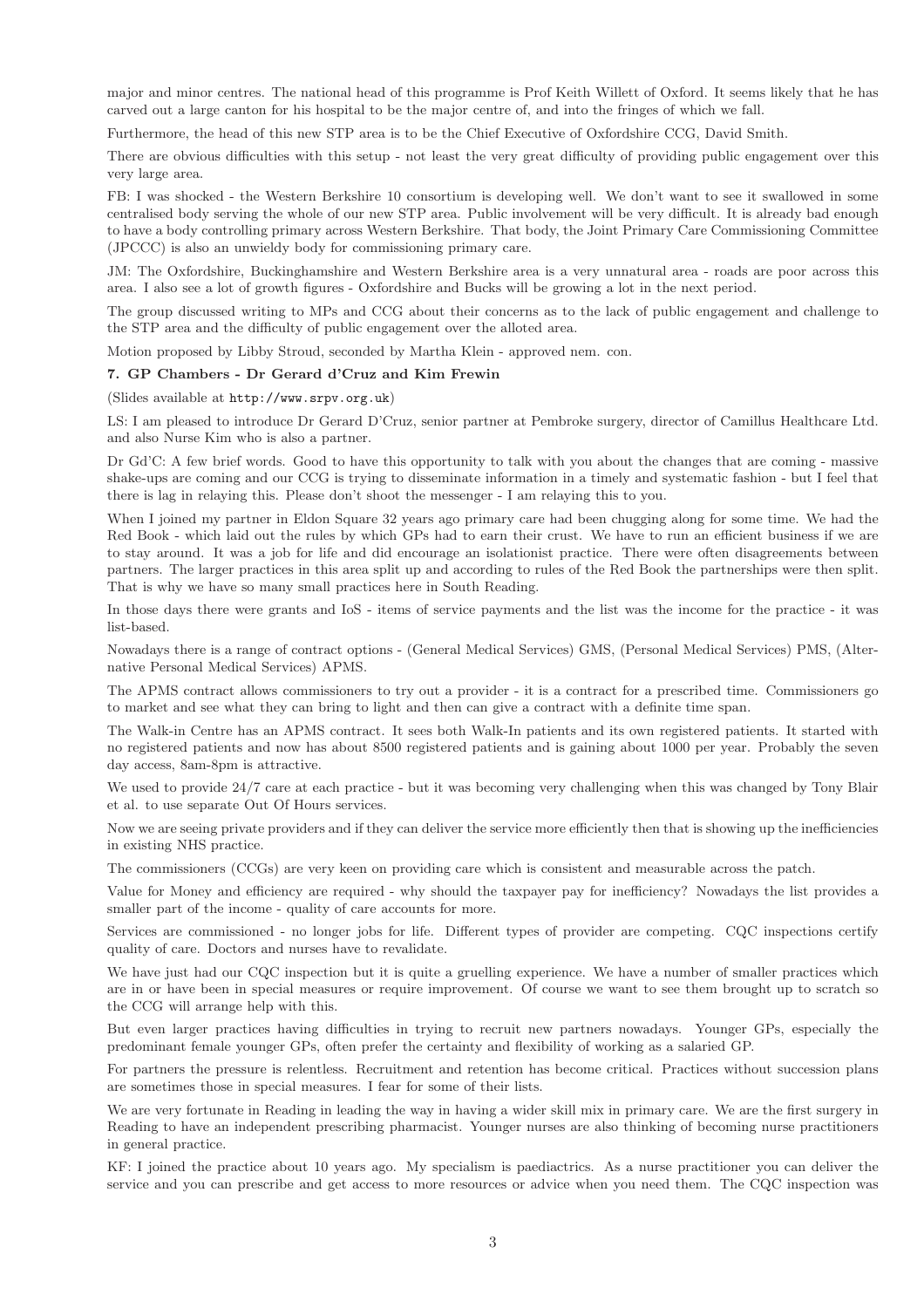major and minor centres. The national head of this programme is Prof Keith Willett of Oxford. It seems likely that he has carved out a large canton for his hospital to be the major centre of, and into the fringes of which we fall.

Furthermore, the head of this new STP area is to be the Chief Executive of Oxfordshire CCG, David Smith.

There are obvious difficulties with this setup - not least the very great difficulty of providing public engagement over this very large area.

FB: I was shocked - the Western Berkshire 10 consortium is developing well. We don't want to see it swallowed in some centralised body serving the whole of our new STP area. Public involvement will be very difficult. It is already bad enough to have a body controlling primary across Western Berkshire. That body, the Joint Primary Care Commissioning Committee (JPCCC) is also an unwieldy body for commissioning primary care.

JM: The Oxfordshire, Buckinghamshire and Western Berkshire area is a very unnatural area - roads are poor across this area. I also see a lot of growth figures - Oxfordshire and Bucks will be growing a lot in the next period.

The group discussed writing to MPs and CCG about their concerns as to the lack of public engagement and challenge to the STP area and the difficulty of public engagement over the alloted area.

Motion proposed by Libby Stroud, seconded by Martha Klein - approved nem. con.

#### 7. GP Chambers - Dr Gerard d'Cruz and Kim Frewin

#### (Slides available at http://www.srpv.org.uk)

LS: I am pleased to introduce Dr Gerard D'Cruz, senior partner at Pembroke surgery, director of Camillus Healthcare Ltd. and also Nurse Kim who is also a partner.

Dr Gd'C: A few brief words. Good to have this opportunity to talk with you about the changes that are coming - massive shake-ups are coming and our CCG is trying to disseminate information in a timely and systematic fashion - but I feel that there is lag in relaying this. Please don't shoot the messenger - I am relaying this to you.

When I joined my partner in Eldon Square 32 years ago primary care had been chugging along for some time. We had the Red Book - which laid out the rules by which GPs had to earn their crust. We have to run an efficient business if we are to stay around. It was a job for life and did encourage an isolationist practice. There were often disagreements between partners. The larger practices in this area split up and according to rules of the Red Book the partnerships were then split. That is why we have so many small practices here in South Reading.

In those days there were grants and IoS - items of service payments and the list was the income for the practice - it was list-based.

Nowadays there is a range of contract options - (General Medical Services) GMS, (Personal Medical Services) PMS, (Alternative Personal Medical Services) APMS.

The APMS contract allows commissioners to try out a provider - it is a contract for a prescribed time. Commissioners go to market and see what they can bring to light and then can give a contract with a definite time span.

The Walk-in Centre has an APMS contract. It sees both Walk-In patients and its own registered patients. It started with no registered patients and now has about 8500 registered patients and is gaining about 1000 per year. Probably the seven day access, 8am-8pm is attractive.

We used to provide  $24/7$  care at each practice - but it was becoming very challenging when this was changed by Tony Blair et al. to use separate Out Of Hours services.

Now we are seeing private providers and if they can deliver the service more efficiently then that is showing up the inefficiencies in existing NHS practice.

The commissioners (CCGs) are very keen on providing care which is consistent and measurable across the patch.

Value for Money and efficiency are required - why should the taxpayer pay for inefficiency? Nowadays the list provides a smaller part of the income - quality of care accounts for more.

Services are commissioned - no longer jobs for life. Different types of provider are competing. CQC inspections certify quality of care. Doctors and nurses have to revalidate.

We have just had our CQC inspection but it is quite a gruelling experience. We have a number of smaller practices which are in or have been in special measures or require improvement. Of course we want to see them brought up to scratch so the CCG will arrange help with this.

But even larger practices having difficulties in trying to recruit new partners nowadays. Younger GPs, especially the predominant female younger GPs, often prefer the certainty and flexibility of working as a salaried GP.

For partners the pressure is relentless. Recruitment and retention has become critical. Practices without succession plans are sometimes those in special measures. I fear for some of their lists.

We are very fortunate in Reading in leading the way in having a wider skill mix in primary care. We are the first surgery in Reading to have an independent prescribing pharmacist. Younger nurses are also thinking of becoming nurse practitioners in general practice.

KF: I joined the practice about 10 years ago. My specialism is paediactrics. As a nurse practitioner you can deliver the service and you can prescribe and get access to more resources or advice when you need them. The CQC inspection was